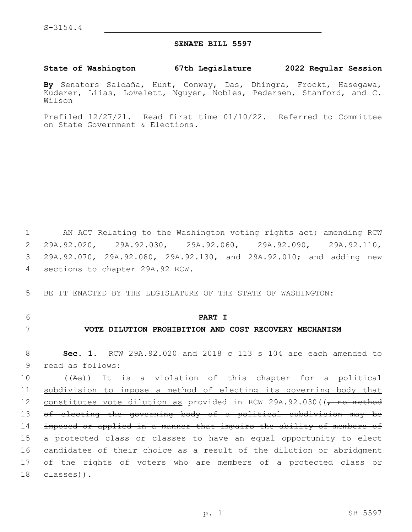### **SENATE BILL 5597**

### **State of Washington 67th Legislature 2022 Regular Session**

**By** Senators Saldaña, Hunt, Conway, Das, Dhingra, Frockt, Hasegawa, Kuderer, Liias, Lovelett, Nguyen, Nobles, Pedersen, Stanford, and C. Wilson

Prefiled 12/27/21. Read first time 01/10/22. Referred to Committee on State Government & Elections.

1 AN ACT Relating to the Washington voting rights act; amending RCW 2 29A.92.020, 29A.92.030, 29A.92.060, 29A.92.090, 29A.92.110, 3 29A.92.070, 29A.92.080, 29A.92.130, and 29A.92.010; and adding new 4 sections to chapter 29A.92 RCW.

5 BE IT ENACTED BY THE LEGISLATURE OF THE STATE OF WASHINGTON:

## 6 **PART I**

## 7 **VOTE DILUTION PROHIBITION AND COST RECOVERY MECHANISM**

8 **Sec. 1.** RCW 29A.92.020 and 2018 c 113 s 104 are each amended to 9 read as follows:

10 ((As)) It is a violation of this chapter for a political 11 subdivision to impose a method of electing its governing body that 12 constitutes vote dilution as provided in RCW 29A.92.030((, no method 13 of electing the governing body of a political subdivision may be 14 imposed or applied in a manner that impairs the ability of members of 15 a protected class or classes to have an equal opportunity to elect 16 candidates of their choice as a result of the dilution or abridgment 17 of the rights of voters who are members of a protected class or  $18$   $\epsilon$   $\lambda$ sses)).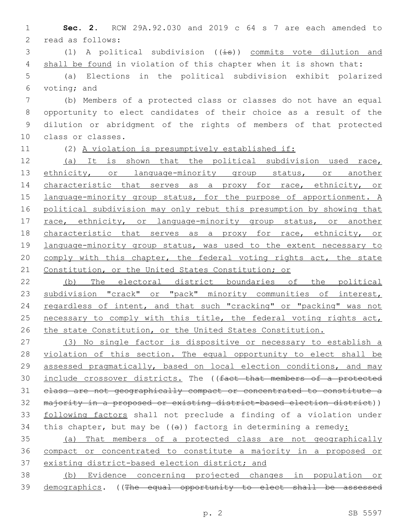1 **Sec. 2.** RCW 29A.92.030 and 2019 c 64 s 7 are each amended to 2 read as follows:

3 (1) A political subdivision  $((\pm s))$  commits vote dilution and 4 shall be found in violation of this chapter when it is shown that:

5 (a) Elections in the political subdivision exhibit polarized 6 voting; and

 (b) Members of a protected class or classes do not have an equal opportunity to elect candidates of their choice as a result of the dilution or abridgment of the rights of members of that protected 10 class or classes.

11 (2) A violation is presumptively established if:

12 (a) It is shown that the political subdivision used race, 13 ethnicity, or language-minority group status, or another 14 characteristic that serves as a proxy for race, ethnicity, or 15 language-minority group status, for the purpose of apportionment. A 16 political subdivision may only rebut this presumption by showing that 17 race, ethnicity, or language-minority group status, or another 18 characteristic that serves as a proxy for race, ethnicity, or 19 language-minority group status, was used to the extent necessary to 20 comply with this chapter, the federal voting rights act, the state 21 Constitution, or the United States Constitution; or

22 (b) The electoral district boundaries of the political 23 subdivision "crack" or "pack" minority communities of interest, 24 regardless of intent, and that such "cracking" or "packing" was not 25 necessary to comply with this title, the federal voting rights act, 26 the state Constitution, or the United States Constitution.

 (3) No single factor is dispositive or necessary to establish a violation of this section. The equal opportunity to elect shall be assessed pragmatically, based on local election conditions, and may include crossover districts. The ((fact that members of a protected class are not geographically compact or concentrated to constitute a 32 majority in a proposed or existing district-based election district)) following factors shall not preclude a finding of a violation under 34 this chapter, but may be  $((a))$  factors in determining a remedy:

35 (a) That members of a protected class are not geographically 36 compact or concentrated to constitute a majority in a proposed or 37 existing district-based election district; and

38 (b) Evidence concerning projected changes in population or 39 demographics. ((The equal opportunity to elect shall be assessed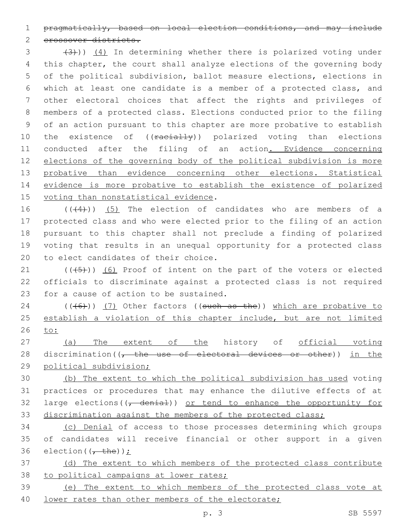1 pragmatically, based on local election conditions, and may include

2 erossover districts.

3 (4))) (4) In determining whether there is polarized voting under this chapter, the court shall analyze elections of the governing body of the political subdivision, ballot measure elections, elections in which at least one candidate is a member of a protected class, and other electoral choices that affect the rights and privileges of members of a protected class. Elections conducted prior to the filing of an action pursuant to this chapter are more probative to establish 10 the existence of ((racially)) polarized voting than elections 11 conducted after the filing of an action. Evidence concerning elections of the governing body of the political subdivision is more 13 probative than evidence concerning other elections. Statistical evidence is more probative to establish the existence of polarized 15 voting than nonstatistical evidence.

16 (((44))) (5) The election of candidates who are members of a 17 protected class and who were elected prior to the filing of an action 18 pursuant to this chapter shall not preclude a finding of polarized 19 voting that results in an unequal opportunity for a protected class 20 to elect candidates of their choice.

21 (((45))) (6) Proof of intent on the part of the voters or elected 22 officials to discriminate against a protected class is not required 23 for a cause of action to be sustained.

24  $((\text{(+6)}))$  (7) Other factors ((such as the)) which are probative to 25 establish a violation of this chapter include, but are not limited 26 to:

27 (a) The extent of the history of official voting 28 discrimination( $\sqrt{t}$  the use of electoral devices or other)) in the 29 political subdivision;

 (b) The extent to which the political subdivision has used voting practices or procedures that may enhance the dilutive effects of at 32 large elections( $\left(\frac{1}{\epsilon_1}, \frac{1}{\epsilon_2}, \frac{1}{\epsilon_3}\right)$  or tend to enhance the opportunity for discrimination against the members of the protected class;

34 (c) Denial of access to those processes determining which groups 35 of candidates will receive financial or other support in a given 36 election( $\left(\frac{1}{t} + \frac{1}{t} + \frac{1}{t}\right)$ );

37 (d) The extent to which members of the protected class contribute 38 to political campaigns at lower rates;

39 (e) The extent to which members of the protected class vote at 40 lower rates than other members of the electorate;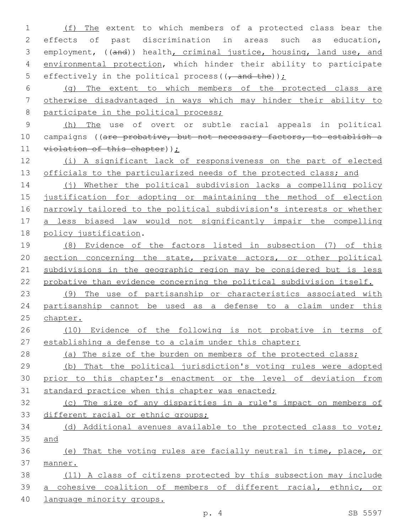(f) The extent to which members of a protected class bear the effects of past discrimination in areas such as education, employment, ((and)) health, criminal justice, housing, land use, and 4 environmental protection, which hinder their ability to participate 5 effectively in the political process ( $(-$ and the)) $\dot{L}$  (g) The extent to which members of the protected class are otherwise disadvantaged in ways which may hinder their ability to 8 participate in the political process; (h) The use of overt or subtle racial appeals in political 10 campaigns ((are probative, but not necessary factors, to establish a 11 violation of this chapter)); (i) A significant lack of responsiveness on the part of elected 13 officials to the particularized needs of the protected class; and 14 (j) Whether the political subdivision lacks a compelling policy justification for adopting or maintaining the method of election narrowly tailored to the political subdivision's interests or whether a less biased law would not significantly impair the compelling 18 policy justification. (8) Evidence of the factors listed in subsection (7) of this

 section concerning the state, private actors, or other political subdivisions in the geographic region may be considered but is less probative than evidence concerning the political subdivision itself.

 (9) The use of partisanship or characteristics associated with partisanship cannot be used as a defense to a claim under this 25 chapter.

# (10) Evidence of the following is not probative in terms of establishing a defense to a claim under this chapter:

28 (a) The size of the burden on members of the protected class;

 (b) That the political jurisdiction's voting rules were adopted prior to this chapter's enactment or the level of deviation from 31 standard practice when this chapter was enacted;

 (c) The size of any disparities in a rule's impact on members of 33 different racial or ethnic groups;

 (d) Additional avenues available to the protected class to vote; and

 (e) That the voting rules are facially neutral in time, place, or manner.

 (11) A class of citizens protected by this subsection may include a cohesive coalition of members of different racial, ethnic, or

language minority groups.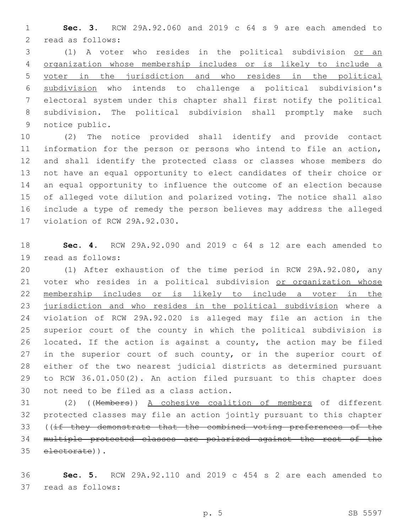**Sec. 3.** RCW 29A.92.060 and 2019 c 64 s 9 are each amended to 2 read as follows:

 (1) A voter who resides in the political subdivision or an organization whose membership includes or is likely to include a voter in the jurisdiction and who resides in the political subdivision who intends to challenge a political subdivision's electoral system under this chapter shall first notify the political subdivision. The political subdivision shall promptly make such 9 notice public.

 (2) The notice provided shall identify and provide contact information for the person or persons who intend to file an action, and shall identify the protected class or classes whose members do not have an equal opportunity to elect candidates of their choice or an equal opportunity to influence the outcome of an election because of alleged vote dilution and polarized voting. The notice shall also include a type of remedy the person believes may address the alleged 17 violation of RCW 29A.92.030.

 **Sec. 4.** RCW 29A.92.090 and 2019 c 64 s 12 are each amended to 19 read as follows:

 (1) After exhaustion of the time period in RCW 29A.92.080, any 21 voter who resides in a political subdivision or organization whose membership includes or is likely to include a voter in the jurisdiction and who resides in the political subdivision where a violation of RCW 29A.92.020 is alleged may file an action in the superior court of the county in which the political subdivision is located. If the action is against a county, the action may be filed 27 in the superior court of such county, or in the superior court of either of the two nearest judicial districts as determined pursuant to RCW 36.01.050(2). An action filed pursuant to this chapter does 30 not need to be filed as a class action.

 (2) ((Members)) A cohesive coalition of members of different protected classes may file an action jointly pursuant to this chapter ((if they demonstrate that the combined voting preferences of the multiple protected classes are polarized against the rest of the 35 electorate)).

 **Sec. 5.** RCW 29A.92.110 and 2019 c 454 s 2 are each amended to 37 read as follows: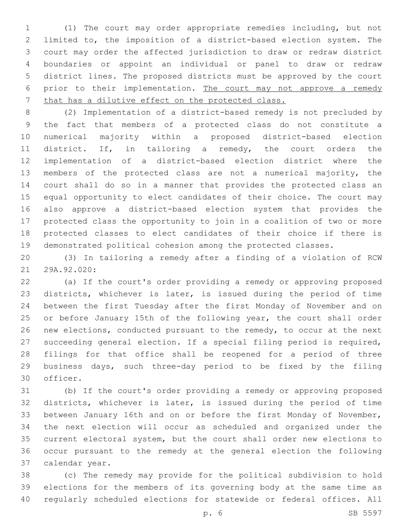(1) The court may order appropriate remedies including, but not limited to, the imposition of a district-based election system. The court may order the affected jurisdiction to draw or redraw district boundaries or appoint an individual or panel to draw or redraw district lines. The proposed districts must be approved by the court 6 prior to their implementation. The court may not approve a remedy that has a dilutive effect on the protected class.

 (2) Implementation of a district-based remedy is not precluded by the fact that members of a protected class do not constitute a numerical majority within a proposed district-based election district. If, in tailoring a remedy, the court orders the implementation of a district-based election district where the members of the protected class are not a numerical majority, the court shall do so in a manner that provides the protected class an equal opportunity to elect candidates of their choice. The court may also approve a district-based election system that provides the protected class the opportunity to join in a coalition of two or more protected classes to elect candidates of their choice if there is demonstrated political cohesion among the protected classes.

 (3) In tailoring a remedy after a finding of a violation of RCW 21 29A.92.020:

 (a) If the court's order providing a remedy or approving proposed districts, whichever is later, is issued during the period of time between the first Tuesday after the first Monday of November and on or before January 15th of the following year, the court shall order new elections, conducted pursuant to the remedy, to occur at the next succeeding general election. If a special filing period is required, filings for that office shall be reopened for a period of three business days, such three-day period to be fixed by the filing 30 officer.

 (b) If the court's order providing a remedy or approving proposed districts, whichever is later, is issued during the period of time between January 16th and on or before the first Monday of November, the next election will occur as scheduled and organized under the current electoral system, but the court shall order new elections to occur pursuant to the remedy at the general election the following 37 calendar year.

 (c) The remedy may provide for the political subdivision to hold elections for the members of its governing body at the same time as regularly scheduled elections for statewide or federal offices. All

p. 6 SB 5597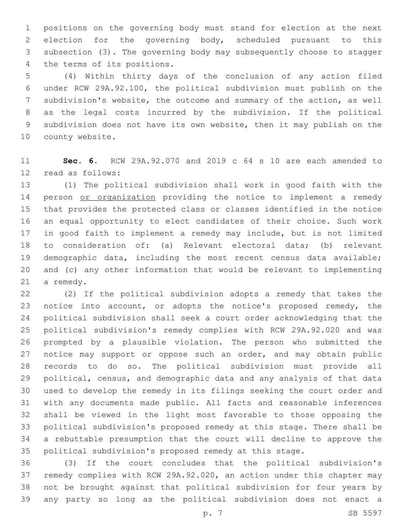positions on the governing body must stand for election at the next election for the governing body, scheduled pursuant to this subsection (3). The governing body may subsequently choose to stagger 4 the terms of its positions.

 (4) Within thirty days of the conclusion of any action filed under RCW 29A.92.100, the political subdivision must publish on the subdivision's website, the outcome and summary of the action, as well as the legal costs incurred by the subdivision. If the political subdivision does not have its own website, then it may publish on the 10 county website.

 **Sec. 6.** RCW 29A.92.070 and 2019 c 64 s 10 are each amended to 12 read as follows:

 (1) The political subdivision shall work in good faith with the 14 person or organization providing the notice to implement a remedy that provides the protected class or classes identified in the notice an equal opportunity to elect candidates of their choice. Such work in good faith to implement a remedy may include, but is not limited to consideration of: (a) Relevant electoral data; (b) relevant demographic data, including the most recent census data available; and (c) any other information that would be relevant to implementing 21 a remedy.

 (2) If the political subdivision adopts a remedy that takes the notice into account, or adopts the notice's proposed remedy, the political subdivision shall seek a court order acknowledging that the political subdivision's remedy complies with RCW 29A.92.020 and was prompted by a plausible violation. The person who submitted the 27 notice may support or oppose such an order, and may obtain public records to do so. The political subdivision must provide all political, census, and demographic data and any analysis of that data used to develop the remedy in its filings seeking the court order and with any documents made public. All facts and reasonable inferences shall be viewed in the light most favorable to those opposing the political subdivision's proposed remedy at this stage. There shall be a rebuttable presumption that the court will decline to approve the political subdivision's proposed remedy at this stage.

 (3) If the court concludes that the political subdivision's remedy complies with RCW 29A.92.020, an action under this chapter may not be brought against that political subdivision for four years by any party so long as the political subdivision does not enact a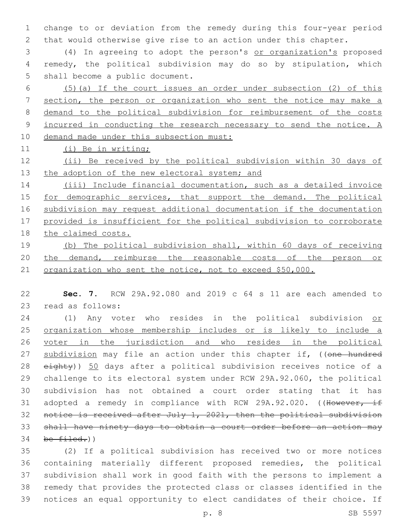change to or deviation from the remedy during this four-year period that would otherwise give rise to an action under this chapter.

 (4) In agreeing to adopt the person's or organization's proposed remedy, the political subdivision may do so by stipulation, which 5 shall become a public document.

 (5)(a) If the court issues an order under subsection (2) of this section, the person or organization who sent the notice may make a demand to the political subdivision for reimbursement of the costs incurred in conducting the research necessary to send the notice. A 10 demand made under this subsection must:

(i) Be in writing;

 (ii) Be received by the political subdivision within 30 days of 13 the adoption of the new electoral system; and

 (iii) Include financial documentation, such as a detailed invoice 15 for demographic services, that support the demand. The political subdivision may request additional documentation if the documentation provided is insufficient for the political subdivision to corroborate the claimed costs.

 (b) The political subdivision shall, within 60 days of receiving 20 the demand, reimburse the reasonable costs of the person or organization who sent the notice, not to exceed \$50,000.

 **Sec. 7.** RCW 29A.92.080 and 2019 c 64 s 11 are each amended to 23 read as follows:

24 (1) Any voter who resides in the political subdivision or organization whose membership includes or is likely to include a voter in the jurisdiction and who resides in the political 27 subdivision may file an action under this chapter if, ((one hundred eighty)) 50 days after a political subdivision receives notice of a challenge to its electoral system under RCW 29A.92.060, the political subdivision has not obtained a court order stating that it has 31 adopted a remedy in compliance with RCW 29A.92.020. ((However, if notice is received after July 1, 2021, then the political subdivision shall have ninety days to obtain a court order before an action may be  $filed.)$ 

 (2) If a political subdivision has received two or more notices containing materially different proposed remedies, the political subdivision shall work in good faith with the persons to implement a remedy that provides the protected class or classes identified in the notices an equal opportunity to elect candidates of their choice. If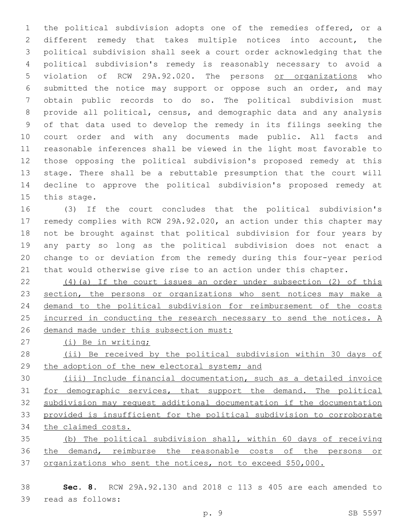the political subdivision adopts one of the remedies offered, or a different remedy that takes multiple notices into account, the political subdivision shall seek a court order acknowledging that the political subdivision's remedy is reasonably necessary to avoid a violation of RCW 29A.92.020. The persons or organizations who submitted the notice may support or oppose such an order, and may obtain public records to do so. The political subdivision must provide all political, census, and demographic data and any analysis of that data used to develop the remedy in its filings seeking the court order and with any documents made public. All facts and reasonable inferences shall be viewed in the light most favorable to those opposing the political subdivision's proposed remedy at this stage. There shall be a rebuttable presumption that the court will decline to approve the political subdivision's proposed remedy at 15 this stage.

 (3) If the court concludes that the political subdivision's remedy complies with RCW 29A.92.020, an action under this chapter may not be brought against that political subdivision for four years by any party so long as the political subdivision does not enact a change to or deviation from the remedy during this four-year period that would otherwise give rise to an action under this chapter.

 (4)(a) If the court issues an order under subsection (2) of this 23 section, the persons or organizations who sent notices may make a demand to the political subdivision for reimbursement of the costs 25 incurred in conducting the research necessary to send the notices. A demand made under this subsection must:

- (i) Be in writing;
- (ii) Be received by the political subdivision within 30 days of the adoption of the new electoral system; and

 (iii) Include financial documentation, such as a detailed invoice for demographic services, that support the demand. The political subdivision may request additional documentation if the documentation provided is insufficient for the political subdivision to corroborate the claimed costs.

 (b) The political subdivision shall, within 60 days of receiving the demand, reimburse the reasonable costs of the persons or organizations who sent the notices, not to exceed \$50,000.

 **Sec. 8.** RCW 29A.92.130 and 2018 c 113 s 405 are each amended to 39 read as follows: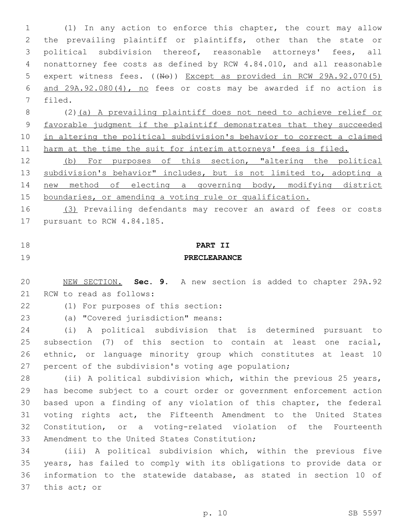(1) In any action to enforce this chapter, the court may allow the prevailing plaintiff or plaintiffs, other than the state or political subdivision thereof, reasonable attorneys' fees, all nonattorney fee costs as defined by RCW 4.84.010, and all reasonable 5 expert witness fees. ((No)) Except as provided in RCW 29A.92.070(5) and 29A.92.080(4), no fees or costs may be awarded if no action is 7 filed.

 (2)(a) A prevailing plaintiff does not need to achieve relief or favorable judgment if the plaintiff demonstrates that they succeeded in altering the political subdivision's behavior to correct a claimed 11 harm at the time the suit for interim attorneys' fees is filed.

 (b) For purposes of this section, "altering the political subdivision's behavior" includes, but is not limited to, adopting a new method of electing a governing body, modifying district boundaries, or amending a voting rule or qualification.

 (3) Prevailing defendants may recover an award of fees or costs 17 pursuant to RCW 4.84.185.

## **PART II PRECLEARANCE**

 NEW SECTION. **Sec. 9.** A new section is added to chapter 29A.92 21 RCW to read as follows:

22 (1) For purposes of this section:

23 (a) "Covered jurisdiction" means:

 (i) A political subdivision that is determined pursuant to subsection (7) of this section to contain at least one racial, ethnic, or language minority group which constitutes at least 10 percent of the subdivision's voting age population;

 (ii) A political subdivision which, within the previous 25 years, has become subject to a court order or government enforcement action based upon a finding of any violation of this chapter, the federal voting rights act, the Fifteenth Amendment to the United States Constitution, or a voting-related violation of the Fourteenth 33 Amendment to the United States Constitution;

 (iii) A political subdivision which, within the previous five years, has failed to comply with its obligations to provide data or information to the statewide database, as stated in section 10 of 37 this act; or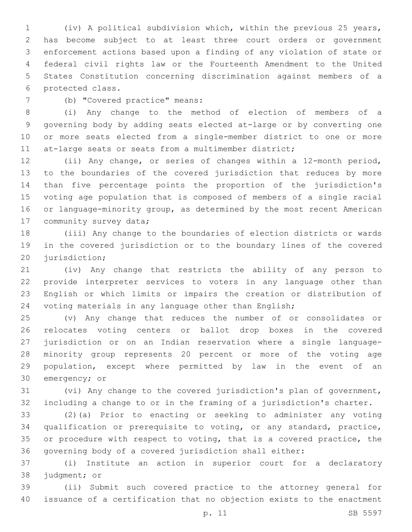(iv) A political subdivision which, within the previous 25 years, has become subject to at least three court orders or government enforcement actions based upon a finding of any violation of state or federal civil rights law or the Fourteenth Amendment to the United States Constitution concerning discrimination against members of a 6 protected class.

(b) "Covered practice" means:7

 (i) Any change to the method of election of members of a governing body by adding seats elected at-large or by converting one or more seats elected from a single-member district to one or more 11 at-large seats or seats from a multimember district;

 (ii) Any change, or series of changes within a 12-month period, to the boundaries of the covered jurisdiction that reduces by more than five percentage points the proportion of the jurisdiction's voting age population that is composed of members of a single racial 16 or language-minority group, as determined by the most recent American 17 community survey data;

 (iii) Any change to the boundaries of election districts or wards in the covered jurisdiction or to the boundary lines of the covered 20 jurisdiction;

 (iv) Any change that restricts the ability of any person to provide interpreter services to voters in any language other than English or which limits or impairs the creation or distribution of voting materials in any language other than English;

 (v) Any change that reduces the number of or consolidates or relocates voting centers or ballot drop boxes in the covered jurisdiction or on an Indian reservation where a single language- minority group represents 20 percent or more of the voting age population, except where permitted by law in the event of an 30 emergency; or

 (vi) Any change to the covered jurisdiction's plan of government, including a change to or in the framing of a jurisdiction's charter.

 (2)(a) Prior to enacting or seeking to administer any voting qualification or prerequisite to voting, or any standard, practice, or procedure with respect to voting, that is a covered practice, the governing body of a covered jurisdiction shall either:

 (i) Institute an action in superior court for a declaratory 38 judgment; or

 (ii) Submit such covered practice to the attorney general for issuance of a certification that no objection exists to the enactment

p. 11 SB 5597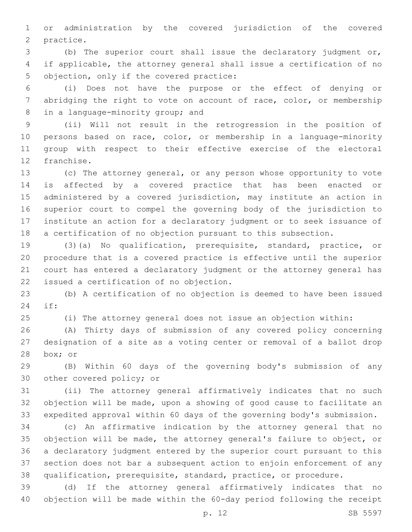or administration by the covered jurisdiction of the covered 2 practice.

 (b) The superior court shall issue the declaratory judgment or, if applicable, the attorney general shall issue a certification of no 5 objection, only if the covered practice:

 (i) Does not have the purpose or the effect of denying or abridging the right to vote on account of race, color, or membership 8 in a language-minority group; and

 (ii) Will not result in the retrogression in the position of persons based on race, color, or membership in a language-minority group with respect to their effective exercise of the electoral 12 franchise.

 (c) The attorney general, or any person whose opportunity to vote is affected by a covered practice that has been enacted or administered by a covered jurisdiction, may institute an action in superior court to compel the governing body of the jurisdiction to institute an action for a declaratory judgment or to seek issuance of a certification of no objection pursuant to this subsection.

 (3)(a) No qualification, prerequisite, standard, practice, or procedure that is a covered practice is effective until the superior court has entered a declaratory judgment or the attorney general has 22 issued a certification of no objection.

 (b) A certification of no objection is deemed to have been issued if:24

(i) The attorney general does not issue an objection within:

 (A) Thirty days of submission of any covered policy concerning designation of a site as a voting center or removal of a ballot drop 28 box; or

 (B) Within 60 days of the governing body's submission of any 30 other covered policy; or

 (ii) The attorney general affirmatively indicates that no such objection will be made, upon a showing of good cause to facilitate an expedited approval within 60 days of the governing body's submission.

 (c) An affirmative indication by the attorney general that no objection will be made, the attorney general's failure to object, or a declaratory judgment entered by the superior court pursuant to this section does not bar a subsequent action to enjoin enforcement of any qualification, prerequisite, standard, practice, or procedure.

 (d) If the attorney general affirmatively indicates that no objection will be made within the 60-day period following the receipt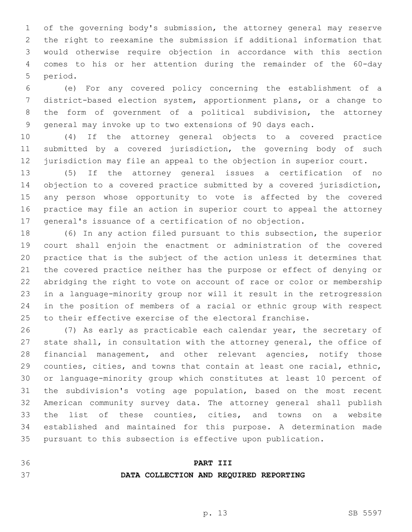of the governing body's submission, the attorney general may reserve the right to reexamine the submission if additional information that would otherwise require objection in accordance with this section comes to his or her attention during the remainder of the 60-day 5 period.

 (e) For any covered policy concerning the establishment of a district-based election system, apportionment plans, or a change to the form of government of a political subdivision, the attorney general may invoke up to two extensions of 90 days each.

 (4) If the attorney general objects to a covered practice 11 submitted by a covered jurisdiction, the governing body of such jurisdiction may file an appeal to the objection in superior court.

 (5) If the attorney general issues a certification of no objection to a covered practice submitted by a covered jurisdiction, any person whose opportunity to vote is affected by the covered practice may file an action in superior court to appeal the attorney general's issuance of a certification of no objection.

 (6) In any action filed pursuant to this subsection, the superior court shall enjoin the enactment or administration of the covered practice that is the subject of the action unless it determines that the covered practice neither has the purpose or effect of denying or abridging the right to vote on account of race or color or membership in a language-minority group nor will it result in the retrogression in the position of members of a racial or ethnic group with respect to their effective exercise of the electoral franchise.

 (7) As early as practicable each calendar year, the secretary of state shall, in consultation with the attorney general, the office of financial management, and other relevant agencies, notify those counties, cities, and towns that contain at least one racial, ethnic, or language-minority group which constitutes at least 10 percent of the subdivision's voting age population, based on the most recent American community survey data. The attorney general shall publish the list of these counties, cities, and towns on a website established and maintained for this purpose. A determination made pursuant to this subsection is effective upon publication.

### **PART III**

### **DATA COLLECTION AND REQUIRED REPORTING**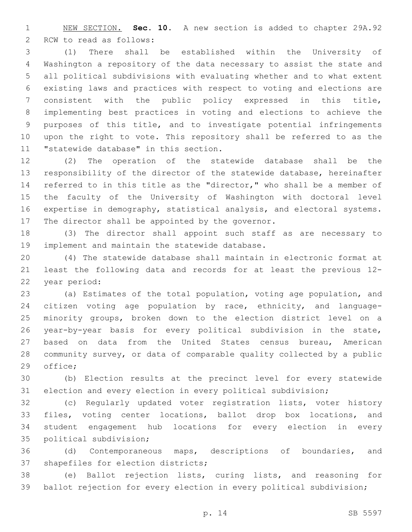NEW SECTION. **Sec. 10.** A new section is added to chapter 29A.92 2 RCW to read as follows:

 (1) There shall be established within the University of Washington a repository of the data necessary to assist the state and all political subdivisions with evaluating whether and to what extent existing laws and practices with respect to voting and elections are consistent with the public policy expressed in this title, implementing best practices in voting and elections to achieve the purposes of this title, and to investigate potential infringements upon the right to vote. This repository shall be referred to as the 11 "statewide database" in this section.

 (2) The operation of the statewide database shall be the responsibility of the director of the statewide database, hereinafter referred to in this title as the "director," who shall be a member of the faculty of the University of Washington with doctoral level expertise in demography, statistical analysis, and electoral systems. 17 The director shall be appointed by the governor.

 (3) The director shall appoint such staff as are necessary to 19 implement and maintain the statewide database.

 (4) The statewide database shall maintain in electronic format at least the following data and records for at least the previous 12- 22 year period:

 (a) Estimates of the total population, voting age population, and citizen voting age population by race, ethnicity, and language- minority groups, broken down to the election district level on a year-by-year basis for every political subdivision in the state, based on data from the United States census bureau, American community survey, or data of comparable quality collected by a public 29 office;

 (b) Election results at the precinct level for every statewide election and every election in every political subdivision;

 (c) Regularly updated voter registration lists, voter history files, voting center locations, ballot drop box locations, and student engagement hub locations for every election in every 35 political subdivision;

 (d) Contemporaneous maps, descriptions of boundaries, and 37 shapefiles for election districts;

 (e) Ballot rejection lists, curing lists, and reasoning for ballot rejection for every election in every political subdivision;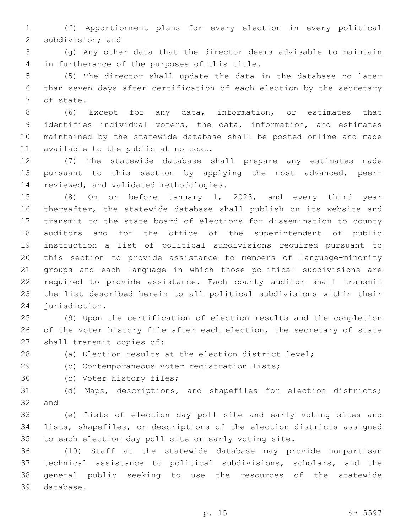(f) Apportionment plans for every election in every political 2 subdivision; and

 (g) Any other data that the director deems advisable to maintain 4 in furtherance of the purposes of this title.

 (5) The director shall update the data in the database no later than seven days after certification of each election by the secretary 7 of state.

 (6) Except for any data, information, or estimates that identifies individual voters, the data, information, and estimates maintained by the statewide database shall be posted online and made 11 available to the public at no cost.

 (7) The statewide database shall prepare any estimates made pursuant to this section by applying the most advanced, peer-14 reviewed, and validated methodologies.

 (8) On or before January 1, 2023, and every third year thereafter, the statewide database shall publish on its website and transmit to the state board of elections for dissemination to county auditors and for the office of the superintendent of public instruction a list of political subdivisions required pursuant to this section to provide assistance to members of language-minority groups and each language in which those political subdivisions are required to provide assistance. Each county auditor shall transmit the list described herein to all political subdivisions within their 24 jurisdiction.

 (9) Upon the certification of election results and the completion 26 of the voter history file after each election, the secretary of state 27 shall transmit copies of:

(a) Election results at the election district level;

(b) Contemporaneous voter registration lists;29

30 (c) Voter history files;

 (d) Maps, descriptions, and shapefiles for election districts; and

 (e) Lists of election day poll site and early voting sites and lists, shapefiles, or descriptions of the election districts assigned to each election day poll site or early voting site.

 (10) Staff at the statewide database may provide nonpartisan technical assistance to political subdivisions, scholars, and the general public seeking to use the resources of the statewide 39 database.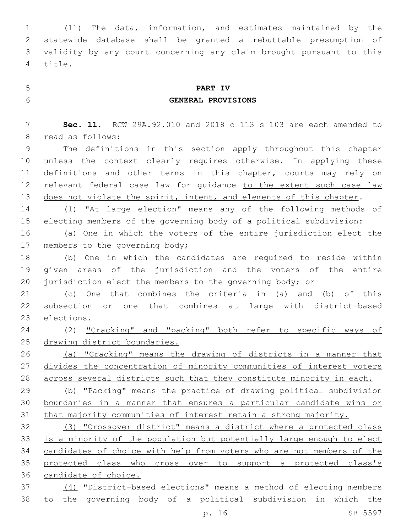(11) The data, information, and estimates maintained by the statewide database shall be granted a rebuttable presumption of validity by any court concerning any claim brought pursuant to this 4 title.

# **PART IV**

## **GENERAL PROVISIONS**

 **Sec. 11.** RCW 29A.92.010 and 2018 c 113 s 103 are each amended to 8 read as follows:

 The definitions in this section apply throughout this chapter unless the context clearly requires otherwise. In applying these definitions and other terms in this chapter, courts may rely on relevant federal case law for guidance to the extent such case law 13 does not violate the spirit, intent, and elements of this chapter.

 (1) "At large election" means any of the following methods of electing members of the governing body of a political subdivision:

 (a) One in which the voters of the entire jurisdiction elect the 17 members to the governing body;

 (b) One in which the candidates are required to reside within given areas of the jurisdiction and the voters of the entire jurisdiction elect the members to the governing body; or

 (c) One that combines the criteria in (a) and (b) of this subsection or one that combines at large with district-based 23 elections.

 (2) "Cracking" and "packing" both refer to specific ways of 25 drawing district boundaries.

 (a) "Cracking" means the drawing of districts in a manner that divides the concentration of minority communities of interest voters across several districts such that they constitute minority in each.

 (b) "Packing" means the practice of drawing political subdivision boundaries in a manner that ensures a particular candidate wins or that majority communities of interest retain a strong majority.

 (3) "Crossover district" means a district where a protected class is a minority of the population but potentially large enough to elect candidates of choice with help from voters who are not members of the protected class who cross over to support a protected class's candidate of choice.

 (4) "District-based elections" means a method of electing members to the governing body of a political subdivision in which the